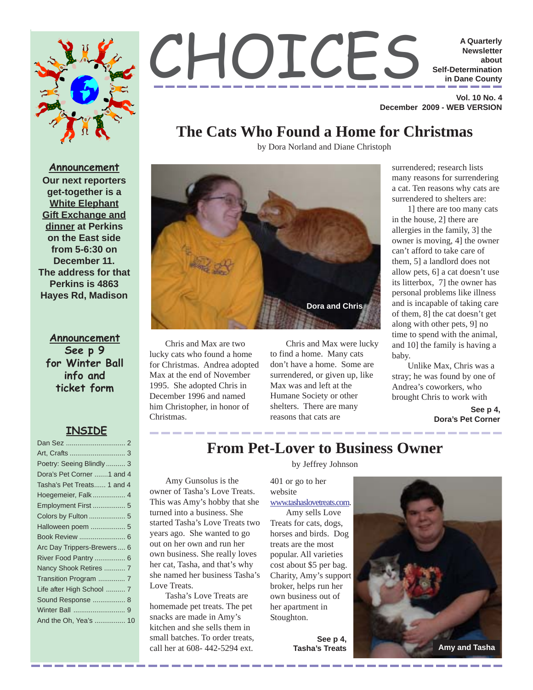



 **Vol. 10 No. 4 December 2009 - WEB VERSION**

### **The Cats Who Found a Home for Christmas**

by Dora Norland and Diane Christoph



**Announcement See p 9 for Winter Ball info and ticket form**

#### **INSIDE**

| Poetry: Seeing Blindly  3  |
|----------------------------|
| Dora's Pet Corner 1 and 4  |
| Tasha's Pet Treats 1 and 4 |
| Hoegemeier, Falk  4        |
| Employment First 5         |
|                            |
| Halloween poem  5          |
| Book Review  6             |
| Arc Day Trippers-Brewers 6 |
| River Food Pantry  6       |
| Nancy Shook Retires  7     |
|                            |
| Life after High School  7  |
| Sound Response  8          |
|                            |
| And the Oh, Yea's  10      |
|                            |



Chris and Max are two lucky cats who found a home for Christmas. Andrea adopted Max at the end of November 1995. She adopted Chris in December 1996 and named him Christopher, in honor of Christmas.

Chris and Max were lucky to find a home. Many cats don't have a home. Some are surrendered, or given up, like Max was and left at the Humane Society or other shelters. There are many reasons that cats are

surrendered; research lists many reasons for surrendering a cat. Ten reasons why cats are surrendered to shelters are:

1] there are too many cats in the house, 2] there are allergies in the family, 3] the owner is moving, 4] the owner can't afford to take care of them, 5] a landlord does not allow pets, 6] a cat doesn't use its litterbox, 7] the owner has personal problems like illness and is incapable of taking care of them, 8] the cat doesn't get along with other pets, 9] no time to spend with the animal, and 10] the family is having a baby.

Unlike Max, Chris was a stray; he was found by one of Andrea's coworkers, who brought Chris to work with

> **See p 4, Dora's Pet Corner**

### **From Pet-Lover to Business Owner**

Amy Gunsolus is the owner of Tasha's Love Treats. This was Amy's hobby that she turned into a business. She started Tasha's Love Treats two years ago. She wanted to go out on her own and run her own business. She really loves her cat, Tasha, and that's why she named her business Tasha's Love Treats.

Tasha's Love Treats are homemade pet treats. The pet snacks are made in Amy's kitchen and she sells them in small batches. To order treats, call her at 608- 442-5294 ext.

by Jeffrey Johnson

401 or go to her website www.tashaslovetreats.com.

Amy sells Love Treats for cats, dogs, horses and birds. Dog treats are the most popular. All varieties cost about \$5 per bag. Charity, Amy's support broker, helps run her own business out of her apartment in Stoughton.

**See p 4,**

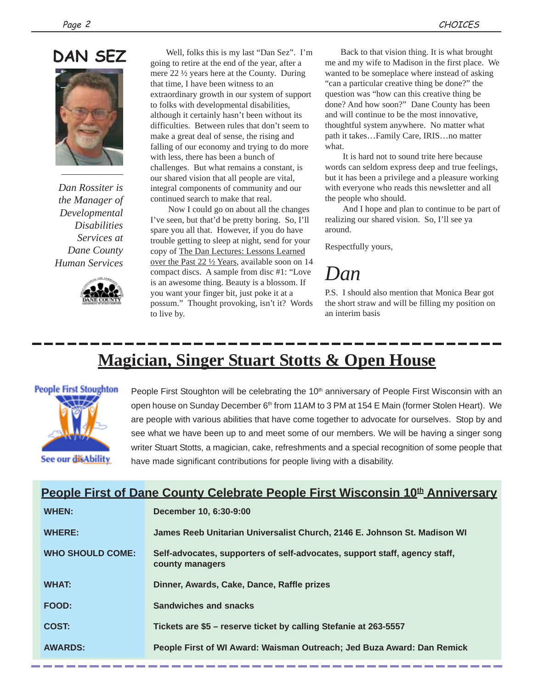# **DAN SEZ**



*Dan Rossiter is the Manager of Developmental Disabilities Services at Dane County Human Services*



Well, folks this is my last "Dan Sez". I'm going to retire at the end of the year, after a mere 22 ½ years here at the County. During that time, I have been witness to an extraordinary growth in our system of support to folks with developmental disabilities, although it certainly hasn't been without its difficulties. Between rules that don't seem to make a great deal of sense, the rising and falling of our economy and trying to do more with less, there has been a bunch of challenges. But what remains a constant, is our shared vision that all people are vital, integral components of community and our continued search to make that real.

 Now I could go on about all the changes I've seen, but that'd be pretty boring. So, I'll spare you all that. However, if you do have trouble getting to sleep at night, send for your copy of The Dan Lectures: Lessons Learned over the Past 22 ½ Years, available soon on 14 compact discs. A sample from disc #1: "Love is an awesome thing. Beauty is a blossom. If you want your finger bit, just poke it at a possum." Thought provoking, isn't it? Words to live by.

Back to that vision thing. It is what brought me and my wife to Madison in the first place. We wanted to be someplace where instead of asking "can a particular creative thing be done?" the question was "how can this creative thing be done? And how soon?" Dane County has been and will continue to be the most innovative, thoughtful system anywhere. No matter what path it takes…Family Care, IRIS…no matter what.

 It is hard not to sound trite here because words can seldom express deep and true feelings, but it has been a privilege and a pleasure working with everyone who reads this newsletter and all the people who should.

 And I hope and plan to continue to be part of realizing our shared vision. So, I'll see ya around.

Respectfully yours,

*Dan*

P.S. I should also mention that Monica Bear got the short straw and will be filling my position on an interim basis

## **Magician, Singer Stuart Stotts & Open House**



People First Stoughton will be celebrating the  $10<sup>th</sup>$  anniversary of People First Wisconsin with an open house on Sunday December 6<sup>th</sup> from 11AM to 3 PM at 154 E Main (former Stolen Heart). We are people with various abilities that have come together to advocate for ourselves. Stop by and see what we have been up to and meet some of our members. We will be having a singer song writer Stuart Stotts, a magician, cake, refreshments and a special recognition of some people that have made significant contributions for people living with a disability.

## **People First of Dane County Celebrate People First Wisconsin 10<sup>th</sup> Anniversary**

| <b>WHEN:</b>            | December 10, 6:30-9:00                                                                        |
|-------------------------|-----------------------------------------------------------------------------------------------|
| <b>WHERE:</b>           | James Reeb Unitarian Universalist Church, 2146 E. Johnson St. Madison WI                      |
| <b>WHO SHOULD COME:</b> | Self-advocates, supporters of self-advocates, support staff, agency staff,<br>county managers |
| <b>WHAT:</b>            | Dinner, Awards, Cake, Dance, Raffle prizes                                                    |
| <b>FOOD:</b>            | Sandwiches and snacks                                                                         |
| COST:                   | Tickets are \$5 - reserve ticket by calling Stefanie at 263-5557                              |
| <b>AWARDS:</b>          | People First of WI Award: Waisman Outreach; Jed Buza Award: Dan Remick                        |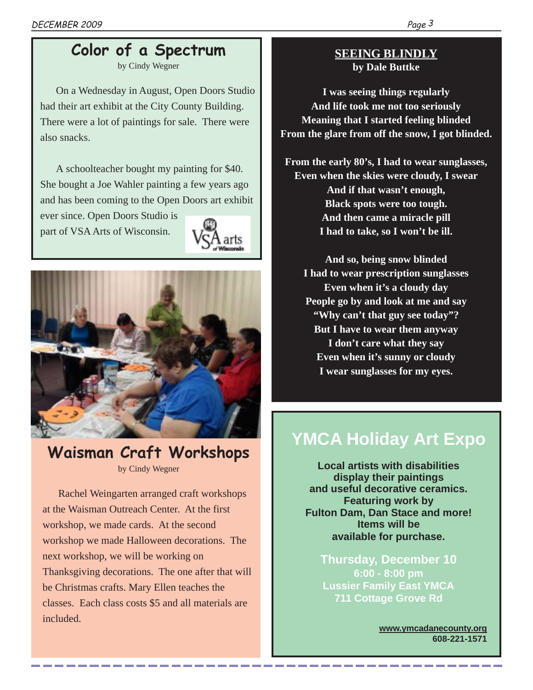## **Color of a Spectrum**

by Cindy Wegner

On a Wednesday in August, Open Doors Studio had their art exhibit at the City County Building. There were a lot of paintings for sale. There were also snacks.

A schoolteacher bought my painting for \$40. She bought a Joe Wahler painting a few years ago and has been coming to the Open Doors art exhibit

ever since. Open Doors Studio is part of VSA Arts of Wisconsin.





### **Waisman Craft Workshops** by Cindy Wegner

Rachel Weingarten arranged craft workshops at the Waisman Outreach Center. At the first workshop, we made cards. At the second workshop we made Halloween decorations. The next workshop, we will be working on Thanksgiving decorations. The one after that will be Christmas crafts. Mary Ellen teaches the classes. Each class costs \$5 and all materials are included.

### **SEEING BLINDLY by Dale Buttke**

**I was seeing things regularly And life took me not too seriously Meaning that I started feeling blinded From the glare from off the snow, I got blinded.**

**From the early 80's, I had to wear sunglasses, Even when the skies were cloudy, I swear And if that wasn't enough, Black spots were too tough. And then came a miracle pill I had to take, so I won't be ill.**

**And so, being snow blinded I had to wear prescription sunglasses Even when it's a cloudy day People go by and look at me and say "Why can't that guy see today"? But I have to wear them anyway I don't care what they say Even when it's sunny or cloudy I wear sunglasses for my eyes.**

## **YMCA Holiday Art Expo**

**Local artists with disabilities display their paintings and useful decorative ceramics. Featuring work by Fulton Dam, Dan Stace and more! Items will be available for purchase.**

**Thursday, December 10 6:00 - 8:00 pm Lussier Family East YMCA 711 Cottage Grove Rd**

> **www.ymcadanecounty.org 608-221-1571**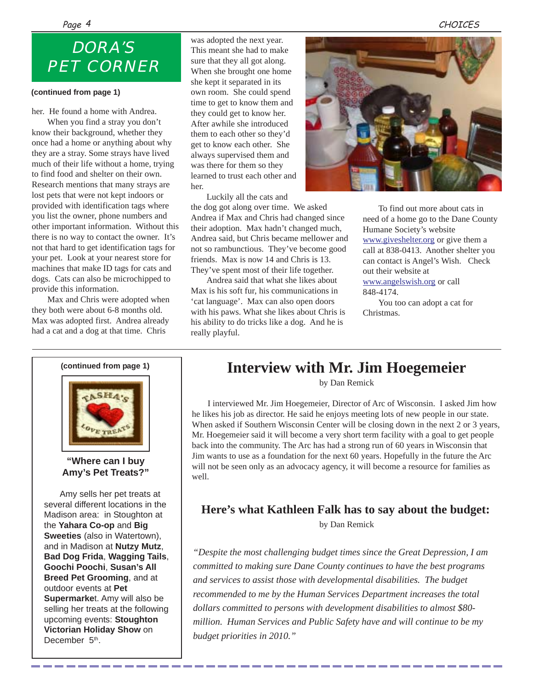#### Page <sup>4</sup> CHOICES

## *DORA'S PET CORNER*

#### **(continued from page 1)**

her. He found a home with Andrea.

When you find a stray you don't know their background, whether they once had a home or anything about why they are a stray. Some strays have lived much of their life without a home, trying to find food and shelter on their own. Research mentions that many strays are lost pets that were not kept indoors or provided with identification tags where you list the owner, phone numbers and other important information. Without this there is no way to contact the owner. It's not that hard to get identification tags for your pet. Look at your nearest store for machines that make ID tags for cats and dogs. Cats can also be microchipped to provide this information.

Max and Chris were adopted when they both were about 6-8 months old. Max was adopted first. Andrea already had a cat and a dog at that time. Chris

was adopted the next year. This meant she had to make sure that they all got along. When she brought one home she kept it separated in its own room. She could spend time to get to know them and they could get to know her. After awhile she introduced them to each other so they'd get to know each other. She always supervised them and was there for them so they learned to trust each other and her.

Luckily all the cats and the dog got along over time. We asked Andrea if Max and Chris had changed since their adoption. Max hadn't changed much, Andrea said, but Chris became mellower and not so rambunctious. They've become good friends. Max is now 14 and Chris is 13. They've spent most of their life together.

Andrea said that what she likes about Max is his soft fur, his communications in 'cat language'. Max can also open doors with his paws. What she likes about Chris is his ability to do tricks like a dog. And he is really playful.



To find out more about cats in need of a home go to the Dane County Humane Society's website www.giveshelter.org or give them a call at 838-0413. Another shelter you can contact is Angel's Wish. Check out their website at www.angelswish.org or call 848-4174.

You too can adopt a cat for Christmas.

**(continued from page 1)**



#### **"Where can I buy Amy's Pet Treats?"**

Amy sells her pet treats at several different locations in the Madison area: in Stoughton at the **Yahara Co-op** and **Big Sweeties** (also in Watertown), and in Madison at **Nutzy Mutz**, **Bad Dog Frida**, **Wagging Tails**, **Goochi Poochi**, **Susan's All Breed Pet Grooming**, and at outdoor events at **Pet Supermarke**t. Amy will also be selling her treats at the following upcoming events: **Stoughton Victorian Holiday Show** on December 5<sup>th</sup>.

## **Interview with Mr. Jim Hoegemeier**

by Dan Remick

I interviewed Mr. Jim Hoegemeier, Director of Arc of Wisconsin. I asked Jim how he likes his job as director. He said he enjoys meeting lots of new people in our state. When asked if Southern Wisconsin Center will be closing down in the next 2 or 3 years, Mr. Hoegemeier said it will become a very short term facility with a goal to get people back into the community. The Arc has had a strong run of 60 years in Wisconsin that Jim wants to use as a foundation for the next 60 years. Hopefully in the future the Arc will not be seen only as an advocacy agency, it will become a resource for families as well.

### **Here's what Kathleen Falk has to say about the budget:** by Dan Remick

*"Despite the most challenging budget times since the Great Depression, I am committed to making sure Dane County continues to have the best programs and services to assist those with developmental disabilities. The budget recommended to me by the Human Services Department increases the total dollars committed to persons with development disabilities to almost \$80 million. Human Services and Public Safety have and will continue to be my budget priorities in 2010."*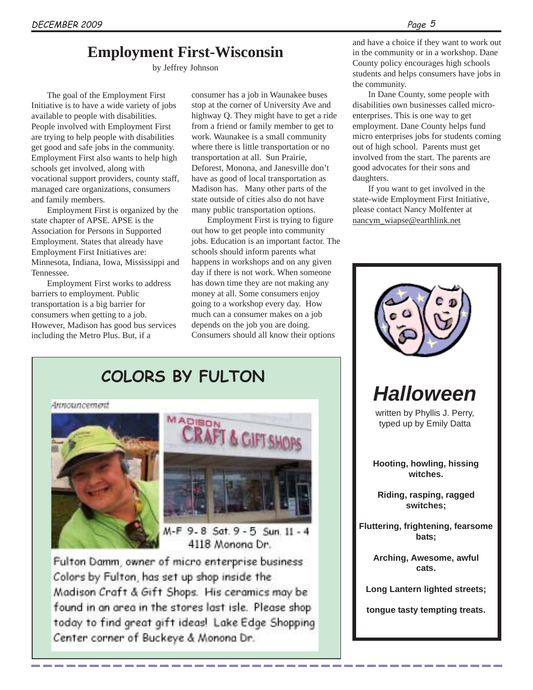### **Employment First-Wisconsin**

by Jeffrey Johnson

The goal of the Employment First Initiative is to have a wide variety of jobs available to people with disabilities. People involved with Employment First are trying to help people with disabilities get good and safe jobs in the community. Employment First also wants to help high schools get involved, along with vocational support providers, county staff, managed care organizations, consumers and family members.

Employment First is organized by the state chapter of APSE. APSE is the Association for Persons in Supported Employment. States that already have Employment First Initiatives are: Minnesota, Indiana, Iowa, Mississippi and Tennessee.

Employment First works to address barriers to employment. Public transportation is a big barrier for consumers when getting to a job. However, Madison has good bus services including the Metro Plus. But, if a

consumer has a job in Waunakee buses stop at the corner of University Ave and highway Q. They might have to get a ride from a friend or family member to get to work. Waunakee is a small community where there is little transportation or no transportation at all. Sun Prairie, Deforest, Monona, and Janesville don't have as good of local transportation as Madison has. Many other parts of the state outside of cities also do not have many public transportation options.

Employment First is trying to figure out how to get people into community jobs. Education is an important factor. The schools should inform parents what happens in workshops and on any given day if there is not work. When someone has down time they are not making any money at all. Some consumers enjoy going to a workshop every day. How much can a consumer makes on a job depends on the job you are doing. Consumers should all know their options

and have a choice if they want to work out in the community or in a workshop. Dane County policy encourages high schools students and helps consumers have jobs in the community.

In Dane County, some people with disabilities own businesses called microenterprises. This is one way to get employment. Dane County helps fund micro enterprises jobs for students coming out of high school. Parents must get involved from the start. The parents are good advocates for their sons and daughters.

If you want to get involved in the state-wide Employment First Initiative, please contact Nancy Molfenter at nancym\_wiapse@earthlink.net



**COLORS BY FULTON**

Announcement





M-F 9-8 Sat. 9-5 Sun. 11-4 4118 Monona Dr.

Fulton Damm, owner of micro enterprise business Colors by Fulton, has set up shop inside the Madison Craft & Gift Shops. His ceramics may be found in an area in the stores last isle. Please shop today to find great gift ideas! Lake Edge Shopping Center corner of Buckeye & Monona Dr.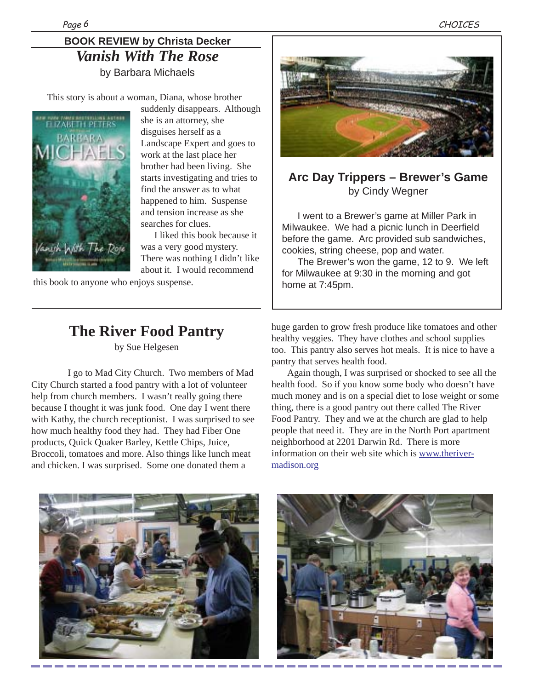### **BOOK REVIEW by Christa Decker** *Vanish With The Rose* by Barbara Michaels

This story is about a woman, Diana, whose brother



suddenly disappears. Although she is an attorney, she disguises herself as a Landscape Expert and goes to work at the last place her brother had been living. She starts investigating and tries to find the answer as to what happened to him. Suspense and tension increase as she searches for clues.

I liked this book because it was a very good mystery. There was nothing I didn't like about it. I would recommend

this book to anyone who enjoys suspense.



**Arc Day Trippers – Brewer's Game** by Cindy Wegner

I went to a Brewer's game at Miller Park in Milwaukee. We had a picnic lunch in Deerfield before the game. Arc provided sub sandwiches, cookies, string cheese, pop and water.

The Brewer's won the game, 12 to 9. We left for Milwaukee at 9:30 in the morning and got home at 7:45pm.

### **The River Food Pantry** by Sue Helgesen

 I go to Mad City Church. Two members of Mad City Church started a food pantry with a lot of volunteer help from church members. I wasn't really going there because I thought it was junk food. One day I went there with Kathy, the church receptionist. I was surprised to see how much healthy food they had. They had Fiber One products, Quick Quaker Barley, Kettle Chips, Juice, Broccoli, tomatoes and more. Also things like lunch meat and chicken. I was surprised. Some one donated them a

huge garden to grow fresh produce like tomatoes and other healthy veggies. They have clothes and school supplies too. This pantry also serves hot meals. It is nice to have a pantry that serves health food.

Again though, I was surprised or shocked to see all the health food. So if you know some body who doesn't have much money and is on a special diet to lose weight or some thing, there is a good pantry out there called The River Food Pantry. They and we at the church are glad to help people that need it. They are in the North Port apartment neighborhood at 2201 Darwin Rd. There is more information on their web site which is www.therivermadison.org



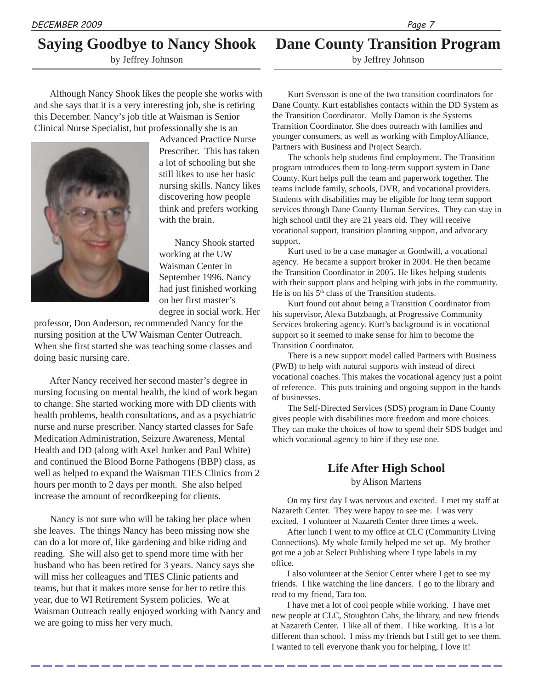### **Saying Goodbye to Nancy Shook**

by Jeffrey Johnson

#### Although Nancy Shook likes the people she works with and she says that it is a very interesting job, she is retiring this December. Nancy's job title at Waisman is Senior Clinical Nurse Specialist, but professionally she is an



Advanced Practice Nurse Prescriber. This has taken a lot of schooling but she still likes to use her basic nursing skills. Nancy likes discovering how people think and prefers working with the brain.

Nancy Shook started working at the UW Waisman Center in September 1996. Nancy had just finished working on her first master's degree in social work. Her

professor, Don Anderson, recommended Nancy for the nursing position at the UW Waisman Center Outreach. When she first started she was teaching some classes and doing basic nursing care.

After Nancy received her second master's degree in nursing focusing on mental health, the kind of work began to change. She started working more with DD clients with health problems, health consultations, and as a psychiatric nurse and nurse prescriber. Nancy started classes for Safe Medication Administration, Seizure Awareness, Mental Health and DD (along with Axel Junker and Paul White) and continued the Blood Borne Pathogens (BBP) class, as well as helped to expand the Waisman TIES Clinics from 2 hours per month to 2 days per month. She also helped increase the amount of recordkeeping for clients.

Nancy is not sure who will be taking her place when she leaves. The things Nancy has been missing now she can do a lot more of, like gardening and bike riding and reading. She will also get to spend more time with her husband who has been retired for 3 years. Nancy says she will miss her colleagues and TIES Clinic patients and teams, but that it makes more sense for her to retire this year, due to WI Retirement System policies. We at Waisman Outreach really enjoyed working with Nancy and we are going to miss her very much.

**Dane County Transition Program**

by Jeffrey Johnson

Kurt Svensson is one of the two transition coordinators for Dane County. Kurt establishes contacts within the DD System as the Transition Coordinator. Molly Damon is the Systems Transition Coordinator. She does outreach with families and younger consumers, as well as working with EmployAlliance, Partners with Business and Project Search.

The schools help students find employment. The Transition program introduces them to long-term support system in Dane County. Kurt helps pull the team and paperwork together. The teams include family, schools, DVR, and vocational providers. Students with disabilities may be eligible for long term support services through Dane County Human Services. They can stay in high school until they are 21 years old. They will receive vocational support, transition planning support, and advocacy support.

Kurt used to be a case manager at Goodwill, a vocational agency. He became a support broker in 2004. He then became the Transition Coordinator in 2005. He likes helping students with their support plans and helping with jobs in the community. He is on his 5<sup>th</sup> class of the Transition students.

Kurt found out about being a Transition Coordinator from his supervisor, Alexa Butzbaugh, at Progressive Community Services brokering agency. Kurt's background is in vocational support so it seemed to make sense for him to become the Transition Coordinator.

There is a new support model called Partners with Business (PWB) to help with natural supports with instead of direct vocational coaches. This makes the vocational agency just a point of reference. This puts training and ongoing support in the hands of businesses.

The Self-Directed Services (SDS) program in Dane County gives people with disabilities more freedom and more choices. They can make the choices of how to spend their SDS budget and which vocational agency to hire if they use one.

### **Life After High School**

by Alison Martens

On my first day I was nervous and excited. I met my staff at Nazareth Center. They were happy to see me. I was very excited. I volunteer at Nazareth Center three times a week.

After lunch I went to my office at CLC (Community Living Connections). My whole family helped me set up. My brother got me a job at Select Publishing where I type labels in my office.

I also volunteer at the Senior Center where I get to see my friends. I like watching the line dancers. I go to the library and read to my friend, Tara too.

I have met a lot of cool people while working. I have met new people at CLC, Stoughton Cabs, the library, and new friends at Nazareth Center. I like all of them. I like working. It is a lot different than school. I miss my friends but I still get to see them. I wanted to tell everyone thank you for helping, I love it!

---------------

Page 7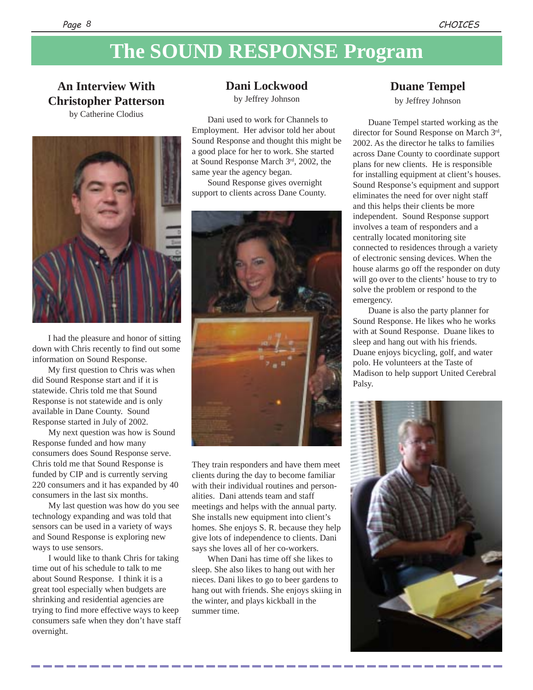## **The SOUND RESPONSE Program**

### **An Interview With Christopher Patterson**

by Catherine Clodius



I had the pleasure and honor of sitting down with Chris recently to find out some information on Sound Response.

My first question to Chris was when did Sound Response start and if it is statewide. Chris told me that Sound Response is not statewide and is only available in Dane County. Sound Response started in July of 2002.

My next question was how is Sound Response funded and how many consumers does Sound Response serve. Chris told me that Sound Response is funded by CIP and is currently serving 220 consumers and it has expanded by 40 consumers in the last six months.

My last question was how do you see technology expanding and was told that sensors can be used in a variety of ways and Sound Response is exploring new ways to use sensors.

I would like to thank Chris for taking time out of his schedule to talk to me about Sound Response. I think it is a great tool especially when budgets are shrinking and residential agencies are trying to find more effective ways to keep consumers safe when they don't have staff overnight.

**Dani Lockwood**

by Jeffrey Johnson

Dani used to work for Channels to Employment. Her advisor told her about Sound Response and thought this might be a good place for her to work. She started at Sound Response March 3rd, 2002, the same year the agency began.

Sound Response gives overnight support to clients across Dane County.



They train responders and have them meet clients during the day to become familiar with their individual routines and personalities. Dani attends team and staff meetings and helps with the annual party. She installs new equipment into client's homes. She enjoys S. R. because they help give lots of independence to clients. Dani says she loves all of her co-workers.

When Dani has time off she likes to sleep. She also likes to hang out with her nieces. Dani likes to go to beer gardens to hang out with friends. She enjoys skiing in the winter, and plays kickball in the summer time.

#### **Duane Tempel**

by Jeffrey Johnson

Duane Tempel started working as the director for Sound Response on March 3rd, 2002. As the director he talks to families across Dane County to coordinate support plans for new clients. He is responsible for installing equipment at client's houses. Sound Response's equipment and support eliminates the need for over night staff and this helps their clients be more independent. Sound Response support involves a team of responders and a centrally located monitoring site connected to residences through a variety of electronic sensing devices. When the house alarms go off the responder on duty will go over to the clients' house to try to solve the problem or respond to the emergency.

Duane is also the party planner for Sound Response. He likes who he works with at Sound Response. Duane likes to sleep and hang out with his friends. Duane enjoys bicycling, golf, and water polo. He volunteers at the Taste of Madison to help support United Cerebral Palsy.

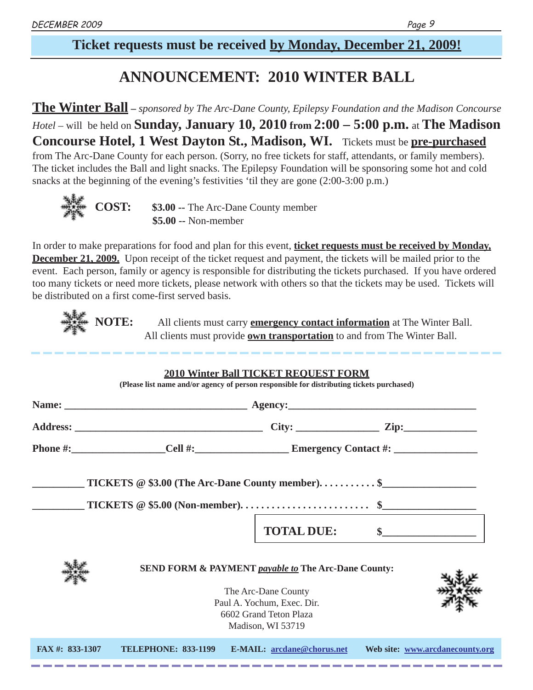### **Ticket requests must be received by Monday, December 21, 2009!**

## **ANNOUNCEMENT: 2010 WINTER BALL**

**The Winter Ball –** *sponsored by The Arc-Dane County, Epilepsy Foundation and the Madison Concourse Hotel* – will be held on **Sunday, January 10, 2010 from 2:00 – 5:00 p.m.** at **The Madison Concourse Hotel, 1 West Dayton St., Madison, WI.** Tickets must be **pre-purchased** from The Arc-Dane County for each person. (Sorry, no free tickets for staff, attendants, or family members). The ticket includes the Ball and light snacks. The Epilepsy Foundation will be sponsoring some hot and cold snacks at the beginning of the evening's festivities 'til they are gone (2:00-3:00 p.m.)



**COST: \$3.00 --** The Arc-Dane County member  **\$5.00 --** Non-member

In order to make preparations for food and plan for this event, **ticket requests must be received by Monday, December 21, 2009.** Upon receipt of the ticket request and payment, the tickets will be mailed prior to the event. Each person, family or agency is responsible for distributing the tickets purchased. If you have ordered too many tickets or need more tickets, please network with others so that the tickets may be used. Tickets will be distributed on a first come-first served basis.



**NOTE:** All clients must carry **emergency contact information** at The Winter Ball. All clients must provide **own transportation** to and from The Winter Ball.

|                |                            | <b>2010 Winter Ball TICKET REQUEST FORM</b><br>(Please list name and/or agency of person responsible for distributing tickets purchased) |                                 |
|----------------|----------------------------|------------------------------------------------------------------------------------------------------------------------------------------|---------------------------------|
|                |                            |                                                                                                                                          |                                 |
|                |                            |                                                                                                                                          |                                 |
|                |                            |                                                                                                                                          |                                 |
|                |                            | $\text{TICKETS} \otimes $5.00 \text{ (Non-member)} \dots \dots \dots \dots \dots \dots \dots \dots \$                                    |                                 |
|                |                            | TOTAL DUE: \$                                                                                                                            |                                 |
|                |                            | <b>SEND FORM &amp; PAYMENT payable to The Arc-Dane County:</b>                                                                           |                                 |
|                |                            | The Arc-Dane County<br>Paul A. Yochum, Exec. Dir.<br>6602 Grand Teton Plaza<br>Madison, WI 53719                                         |                                 |
| FAX#: 833-1307 | <b>TELEPHONE: 833-1199</b> | E-MAIL: arcdane@chorus.net                                                                                                               | Web site: www.arcdanecounty.org |